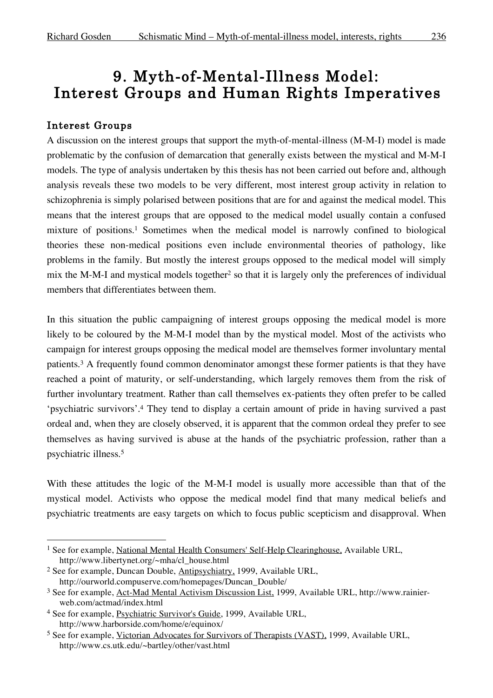# 9. Myth-of-Mental-Illness Model: Interest Groups and Human Rights Imperatives

## Interest Groups

A discussion on the interest groups that support the myth-of-mental-illness (M-M-I) model is made problematic by the confusion of demarcation that generally exists between the mystical and M-M-I models. The type of analysis undertaken by this thesis has not been carried out before and, although analysis reveals these two models to be very different, most interest group activity in relation to schizophrenia is simply polarised between positions that are for and against the medical model. This means that the interest groups that are opposed to the medical model usually contain a confused mixture of positions. <sup>1</sup> Sometimes when the medical model is narrowly confined to biological theories these non-medical positions even include environmental theories of pathology, like problems in the family. But mostly the interest groups opposed to the medical model will simply mix the M-M-I and mystical models together<sup>2</sup> so that it is largely only the preferences of individual members that differentiates between them.

In this situation the public campaigning of interest groups opposing the medical model is more likely to be coloured by the M-M-I model than by the mystical model. Most of the activists who campaign for interest groups opposing the medical model are themselves former involuntary mental patients. <sup>3</sup> A frequently found common denominator amongst these former patients is that they have reached a point of maturity, or self-understanding, which largely removes them from the risk of further involuntary treatment. Rather than call themselves ex-patients they often prefer to be called 'psychiatric survivors'. <sup>4</sup> They tend to display a certain amount of pride in having survived a past ordeal and, when they are closely observed, it is apparent that the common ordeal they prefer to see themselves as having survived is abuse at the hands of the psychiatric profession, rather than a psychiatric illness.5

With these attitudes the logic of the M-M-I model is usually more accessible than that of the mystical model. Activists who oppose the medical model find that many medical beliefs and psychiatric treatments are easy targets on which to focus public scepticism and disapproval. When

<sup>&</sup>lt;sup>1</sup> See for example, National Mental Health Consumers' Self-Help Clearinghouse, Available URL, http://www.libertynet.org/~mha/cl\_house.html

<sup>&</sup>lt;sup>2</sup> See for example, Duncan Double, **Antipsychiatry**, 1999, Available URL, http://ourworld.compuserve.com/homepages/Duncan\_Double/

<sup>3</sup> See for example, Act-Mad Mental Activism Discussion List, 1999, Available URL, http://www.rainierweb.com/actmad/index.html

<sup>4</sup> See for example, Psychiatric Survivor's Guide, 1999, Available URL, http://www.harborside.com/home/e/equinox/

<sup>&</sup>lt;sup>5</sup> See for example, Victorian Advocates for Survivors of Therapists (VAST), 1999, Available URL, http://www.cs.utk.edu/~bartley/other/vast.html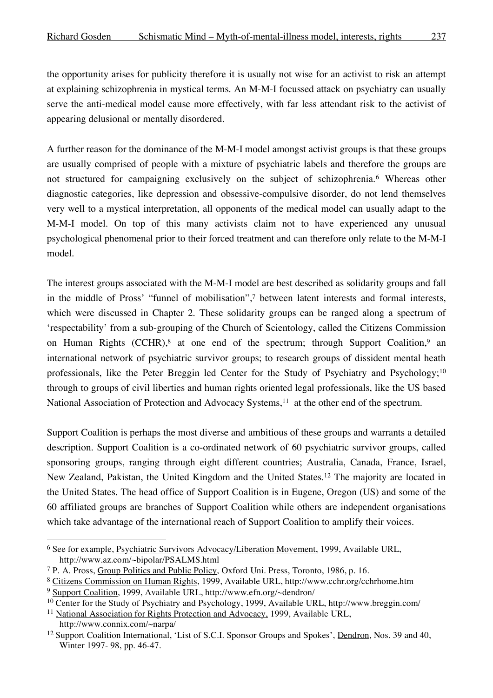the opportunity arises for publicity therefore it is usually not wise for an activist to risk an attempt at explaining schizophrenia in mystical terms. An M-M-I focussed attack on psychiatry can usually serve the anti-medical model cause more effectively, with far less attendant risk to the activist of appearing delusional or mentally disordered.

A further reason for the dominance of the M-M-I model amongst activist groups is that these groups are usually comprised of people with a mixture of psychiatric labels and therefore the groups are not structured for campaigning exclusively on the subject of schizophrenia.6 Whereas other diagnostic categories, like depression and obsessive-compulsive disorder, do not lend themselves very well to a mystical interpretation, all opponents of the medical model can usually adapt to the M-M-I model. On top of this many activists claim not to have experienced any unusual psychological phenomenal prior to their forced treatment and can therefore only relate to the M-M-I model.

The interest groups associated with the M-M-I model are best described as solidarity groups and fall in the middle of Pross' "funnel of mobilisation", <sup>7</sup> between latent interests and formal interests, which were discussed in Chapter 2. These solidarity groups can be ranged along a spectrum of 'respectability' from a sub-grouping of the Church of Scientology, called the Citizens Commission on Human Rights (CCHR),<sup>8</sup> at one end of the spectrum; through Support Coalition,<sup>9</sup> an international network of psychiatric survivor groups; to research groups of dissident mental heath professionals, like the Peter Breggin led Center for the Study of Psychiatry and Psychology;<sup>10</sup> through to groups of civil liberties and human rights oriented legal professionals, like the US based National Association of Protection and Advocacy Systems,<sup>11</sup> at the other end of the spectrum.

Support Coalition is perhaps the most diverse and ambitious of these groups and warrants a detailed description. Support Coalition is a co-ordinated network of 60 psychiatric survivor groups, called sponsoring groups, ranging through eight different countries; Australia, Canada, France, Israel, New Zealand, Pakistan, the United Kingdom and the United States. <sup>12</sup> The majority are located in the United States. The head office of Support Coalition is in Eugene, Oregon (US) and some of the 60 affiliated groups are branches of Support Coalition while others are independent organisations which take advantage of the international reach of Support Coalition to amplify their voices.

 <sup>6</sup> See for example, Psychiatric Survivors Advocacy/Liberation Movement, 1999, Available URL, http://www.az.com/~bipolar/PSALMS.html

<sup>7</sup> P. A. Pross, Group Politics and Public Policy, Oxford Uni. Press, Toronto, 1986, p. 16.

<sup>8</sup> Citizens Commission on Human Rights, 1999, Available URL, http://www.cchr.org/cchrhome.htm <sup>9</sup> Support Coalition, 1999, Available URL, http://www.efn.org/~dendron/

<sup>10</sup> Center for the Study of Psychiatry and Psychology, 1999, Available URL, http://www.breggin.com/

<sup>&</sup>lt;sup>11</sup> National Association for Rights Protection and Advocacy, 1999, Available URL, http://www.connix.com/~narpa/

<sup>&</sup>lt;sup>12</sup> Support Coalition International, 'List of S.C.I. Sponsor Groups and Spokes', <u>Dendron</u>, Nos. 39 and 40, Winter 1997- 98, pp. 46-47.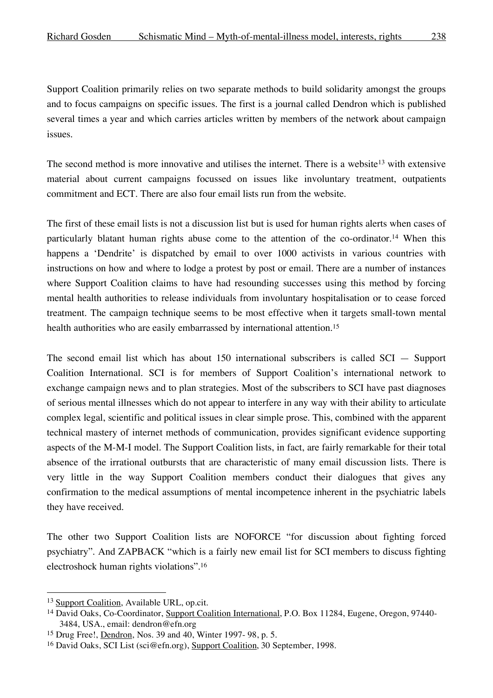Support Coalition primarily relies on two separate methods to build solidarity amongst the groups and to focus campaigns on specific issues. The first is a journal called Dendron which is published several times a year and which carries articles written by members of the network about campaign issues.

The second method is more innovative and utilises the internet. There is a website<sup>13</sup> with extensive material about current campaigns focussed on issues like involuntary treatment, outpatients commitment and ECT. There are also four email lists run from the website.

The first of these email lists is not a discussion list but is used for human rights alerts when cases of particularly blatant human rights abuse come to the attention of the co-ordinator. <sup>14</sup> When this happens a 'Dendrite' is dispatched by email to over 1000 activists in various countries with instructions on how and where to lodge a protest by post or email. There are a number of instances where Support Coalition claims to have had resounding successes using this method by forcing mental health authorities to release individuals from involuntary hospitalisation or to cease forced treatment. The campaign technique seems to be most effective when it targets small-town mental health authorities who are easily embarrassed by international attention.<sup>15</sup>

The second email list which has about 150 international subscribers is called SCI — Support Coalition International. SCI is for members of Support Coalition's international network to exchange campaign news and to plan strategies. Most of the subscribers to SCI have past diagnoses of serious mental illnesses which do not appear to interfere in any way with their ability to articulate complex legal, scientific and political issues in clear simple prose. This, combined with the apparent technical mastery of internet methods of communication, provides significant evidence supporting aspects of the M-M-I model. The Support Coalition lists, in fact, are fairly remarkable for their total absence of the irrational outbursts that are characteristic of many email discussion lists. There is very little in the way Support Coalition members conduct their dialogues that gives any confirmation to the medical assumptions of mental incompetence inherent in the psychiatric labels they have received.

The other two Support Coalition lists are NOFORCE "for discussion about fighting forced psychiatry". And ZAPBACK "which is a fairly new email list for SCI members to discuss fighting electroshock human rights violations". 16

<sup>&</sup>lt;sup>13</sup> Support Coalition, Available URL, op.cit.

<sup>&</sup>lt;sup>14</sup> David Oaks, Co-Coordinator, Support Coalition International, P.O. Box 11284, Eugene, Oregon, 97440-3484, USA., email: dendron@efn.org

<sup>15</sup> Drug Free!, Dendron, Nos. 39 and 40, Winter 1997- 98, p. 5.

<sup>&</sup>lt;sup>16</sup> David Oaks, SCI List (sci@efn.org), Support Coalition, 30 September, 1998.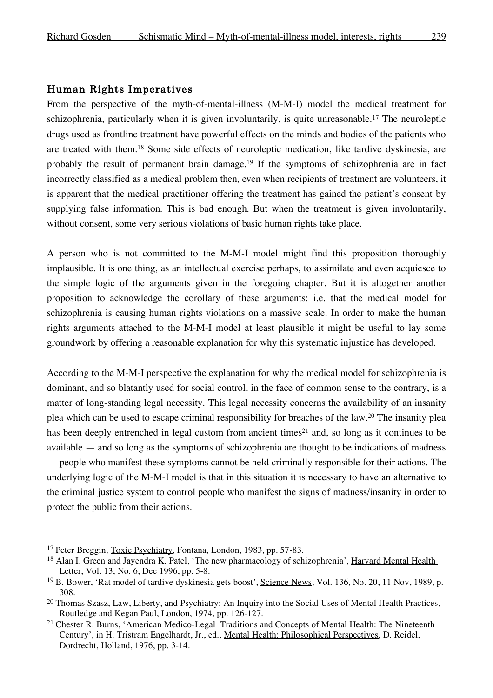From the perspective of the myth-of-mental-illness (M-M-I) model the medical treatment for schizophrenia, particularly when it is given involuntarily, is quite unreasonable.<sup>17</sup> The neuroleptic drugs used as frontline treatment have powerful effects on the minds and bodies of the patients who are treated with them. <sup>18</sup> Some side effects of neuroleptic medication, like tardive dyskinesia, are probably the result of permanent brain damage. <sup>19</sup> If the symptoms of schizophrenia are in fact incorrectly classified as a medical problem then, even when recipients of treatment are volunteers, it is apparent that the medical practitioner offering the treatment has gained the patient's consent by supplying false information. This is bad enough. But when the treatment is given involuntarily, without consent, some very serious violations of basic human rights take place.

A person who is not committed to the M-M-I model might find this proposition thoroughly implausible. It is one thing, as an intellectual exercise perhaps, to assimilate and even acquiesce to the simple logic of the arguments given in the foregoing chapter. But it is altogether another proposition to acknowledge the corollary of these arguments: i.e. that the medical model for schizophrenia is causing human rights violations on a massive scale. In order to make the human rights arguments attached to the M-M-I model at least plausible it might be useful to lay some groundwork by offering a reasonable explanation for why this systematic injustice has developed.

According to the M-M-I perspective the explanation for why the medical model for schizophrenia is dominant, and so blatantly used for social control, in the face of common sense to the contrary, is a matter of long-standing legal necessity. This legal necessity concerns the availability of an insanity plea which can be used to escape criminal responsibility for breaches of the law. <sup>20</sup> The insanity plea has been deeply entrenched in legal custom from ancient times<sup>21</sup> and, so long as it continues to be available — and so long as the symptoms of schizophrenia are thought to be indications of madness — people who manifest these symptoms cannot be held criminally responsible for their actions. The underlying logic of the M-M-I model is that in this situation it is necessary to have an alternative to the criminal justice system to control people who manifest the signs of madness/insanity in order to protect the public from their actions.

 <sup>17</sup> Peter Breggin, Toxic Psychiatry, Fontana, London, 1983, pp. 57-83.

<sup>&</sup>lt;sup>18</sup> Alan I. Green and Jayendra K. Patel, 'The new pharmacology of schizophrenia', Harvard Mental Health Letter, Vol. 13, No. 6, Dec 1996, pp. 5-8.

<sup>&</sup>lt;sup>19</sup> B. Bower, 'Rat model of tardive dyskinesia gets boost', Science News, Vol. 136, No. 20, 11 Nov, 1989, p. 308.

<sup>&</sup>lt;sup>20</sup> Thomas Szasz, Law, Liberty, and Psychiatry: An Inquiry into the Social Uses of Mental Health Practices, Routledge and Kegan Paul, London, 1974, pp. 126-127.

<sup>&</sup>lt;sup>21</sup> Chester R. Burns, 'American Medico-Legal Traditions and Concepts of Mental Health: The Nineteenth Century', in H. Tristram Engelhardt, Jr., ed., Mental Health: Philosophical Perspectives, D. Reidel, Dordrecht, Holland, 1976, pp. 3-14.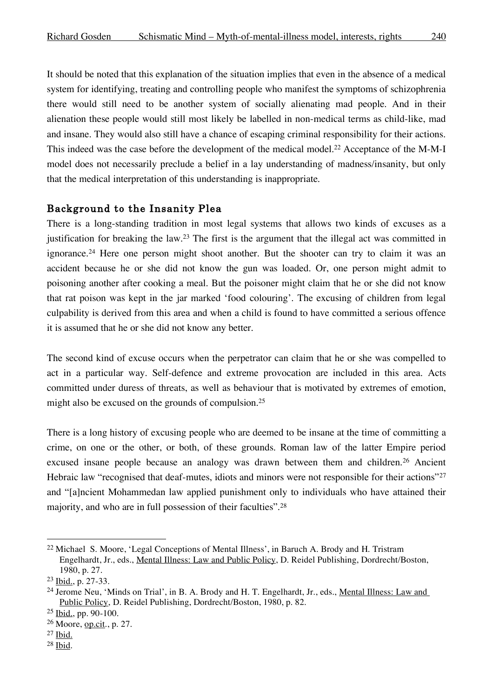It should be noted that this explanation of the situation implies that even in the absence of a medical system for identifying, treating and controlling people who manifest the symptoms of schizophrenia there would still need to be another system of socially alienating mad people. And in their alienation these people would still most likely be labelled in non-medical terms as child-like, mad and insane. They would also still have a chance of escaping criminal responsibility for their actions. This indeed was the case before the development of the medical model.<sup>22</sup> Acceptance of the M-M-I model does not necessarily preclude a belief in a lay understanding of madness/insanity, but only that the medical interpretation of this understanding is inappropriate.

## Background to the Insanity Plea

There is a long-standing tradition in most legal systems that allows two kinds of excuses as a justification for breaking the law.<sup>23</sup> The first is the argument that the illegal act was committed in ignorance. <sup>24</sup> Here one person might shoot another. But the shooter can try to claim it was an accident because he or she did not know the gun was loaded. Or, one person might admit to poisoning another after cooking a meal. But the poisoner might claim that he or she did not know that rat poison was kept in the jar marked 'food colouring'. The excusing of children from legal culpability is derived from this area and when a child is found to have committed a serious offence it is assumed that he or she did not know any better.

The second kind of excuse occurs when the perpetrator can claim that he or she was compelled to act in a particular way. Self-defence and extreme provocation are included in this area. Acts committed under duress of threats, as well as behaviour that is motivated by extremes of emotion, might also be excused on the grounds of compulsion.25

There is a long history of excusing people who are deemed to be insane at the time of committing a crime, on one or the other, or both, of these grounds. Roman law of the latter Empire period excused insane people because an analogy was drawn between them and children.<sup>26</sup> Ancient Hebraic law "recognised that deaf-mutes, idiots and minors were not responsible for their actions"<sup>27</sup> and "[a]ncient Mohammedan law applied punishment only to individuals who have attained their majority, and who are in full possession of their faculties".28

 <sup>22</sup> Michael S. Moore, 'Legal Conceptions of Mental Illness', in Baruch A. Brody and H. Tristram Engelhardt, Jr., eds., Mental Illness: Law and Public Policy, D. Reidel Publishing, Dordrecht/Boston, 1980, p. 27.

<sup>23</sup> Ibid., p. 27-33.

<sup>&</sup>lt;sup>24</sup> Jerome Neu, 'Minds on Trial', in B. A. Brody and H. T. Engelhardt, Jr., eds., <u>Mental Illness: Law and</u> Public Policy, D. Reidel Publishing, Dordrecht/Boston, 1980, p. 82.

 $25$  Ibid., pp. 90-100.

<sup>26</sup> Moore, op.cit., p. 27.

<sup>27</sup> Ibid.

<sup>28</sup> Ibid.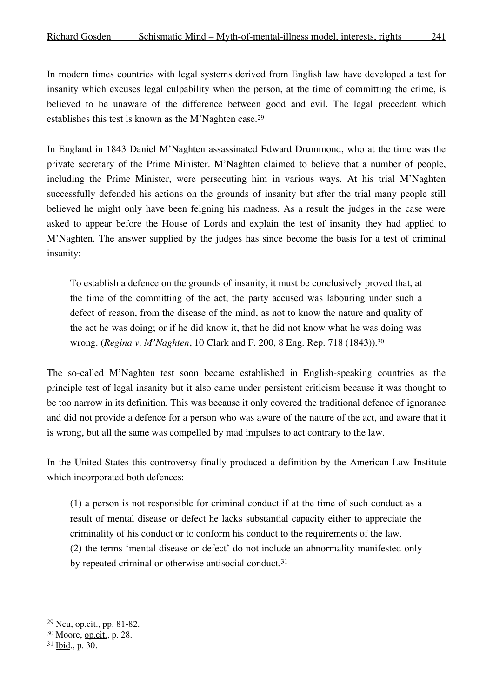In modern times countries with legal systems derived from English law have developed a test for insanity which excuses legal culpability when the person, at the time of committing the crime, is believed to be unaware of the difference between good and evil. The legal precedent which establishes this test is known as the M'Naghten case.<sup>29</sup>

In England in 1843 Daniel M'Naghten assassinated Edward Drummond, who at the time was the private secretary of the Prime Minister. M'Naghten claimed to believe that a number of people, including the Prime Minister, were persecuting him in various ways. At his trial M'Naghten successfully defended his actions on the grounds of insanity but after the trial many people still believed he might only have been feigning his madness. As a result the judges in the case were asked to appear before the House of Lords and explain the test of insanity they had applied to M'Naghten. The answer supplied by the judges has since become the basis for a test of criminal insanity:

To establish a defence on the grounds of insanity, it must be conclusively proved that, at the time of the committing of the act, the party accused was labouring under such a defect of reason, from the disease of the mind, as not to know the nature and quality of the act he was doing; or if he did know it, that he did not know what he was doing was wrong. (*Regina v. M'Naghten*, 10 Clark and F. 200, 8 Eng. Rep. 718 (1843)). 30

The so-called M'Naghten test soon became established in English-speaking countries as the principle test of legal insanity but it also came under persistent criticism because it was thought to be too narrow in its definition. This was because it only covered the traditional defence of ignorance and did not provide a defence for a person who was aware of the nature of the act, and aware that it is wrong, but all the same was compelled by mad impulses to act contrary to the law.

In the United States this controversy finally produced a definition by the American Law Institute which incorporated both defences:

(1) a person is not responsible for criminal conduct if at the time of such conduct as a result of mental disease or defect he lacks substantial capacity either to appreciate the criminality of his conduct or to conform his conduct to the requirements of the law. (2) the terms 'mental disease or defect' do not include an abnormality manifested only by repeated criminal or otherwise antisocial conduct.<sup>31</sup>

 <sup>29</sup> Neu, op.cit., pp. 81-82.

<sup>30</sup> Moore, op.cit., p. 28.

<sup>31</sup> Ibid., p. 30.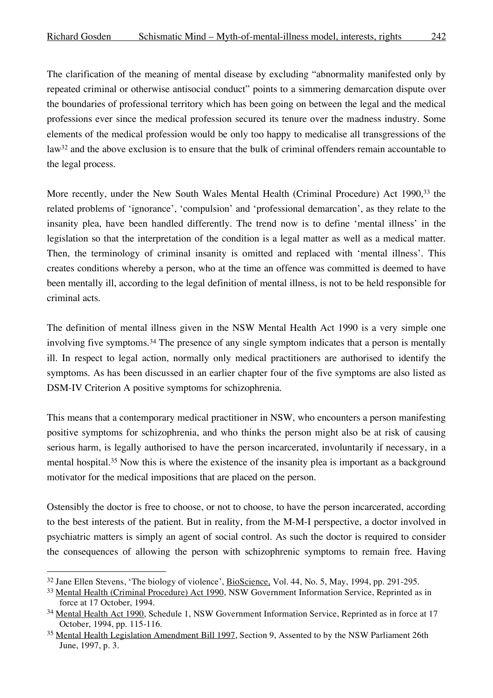The clarification of the meaning of mental disease by excluding "abnormality manifested only by repeated criminal or otherwise antisocial conduct" points to a simmering demarcation dispute over the boundaries of professional territory which has been going on between the legal and the medical professions ever since the medical profession secured its tenure over the madness industry. Some elements of the medical profession would be only too happy to medicalise all transgressions of the law<sup>32</sup> and the above exclusion is to ensure that the bulk of criminal offenders remain accountable to the legal process.

More recently, under the New South Wales Mental Health (Criminal Procedure) Act 1990, <sup>33</sup> the related problems of 'ignorance', 'compulsion' and 'professional demarcation', as they relate to the insanity plea, have been handled differently. The trend now is to define 'mental illness' in the legislation so that the interpretation of the condition is a legal matter as well as a medical matter. Then, the terminology of criminal insanity is omitted and replaced with 'mental illness'. This creates conditions whereby a person, who at the time an offence was committed is deemed to have been mentally ill, according to the legal definition of mental illness, is not to be held responsible for criminal acts.

The definition of mental illness given in the NSW Mental Health Act 1990 is a very simple one involving five symptoms. <sup>34</sup> The presence of any single symptom indicates that a person is mentally ill. In respect to legal action, normally only medical practitioners are authorised to identify the symptoms. As has been discussed in an earlier chapter four of the five symptoms are also listed as DSM-IV Criterion A positive symptoms for schizophrenia.

This means that a contemporary medical practitioner in NSW, who encounters a person manifesting positive symptoms for schizophrenia, and who thinks the person might also be at risk of causing serious harm, is legally authorised to have the person incarcerated, involuntarily if necessary, in a mental hospital.35 Now this is where the existence of the insanity plea is important as a background motivator for the medical impositions that are placed on the person.

Ostensibly the doctor is free to choose, or not to choose, to have the person incarcerated, according to the best interests of the patient. But in reality, from the M-M-I perspective, a doctor involved in psychiatric matters is simply an agent of social control. As such the doctor is required to consider the consequences of allowing the person with schizophrenic symptoms to remain free. Having

<sup>&</sup>lt;sup>32</sup> Jane Ellen Stevens, 'The biology of violence', BioScience, Vol. 44, No. 5, May, 1994, pp. 291-295.

<sup>&</sup>lt;sup>33</sup> Mental Health (Criminal Procedure) Act 1990, NSW Government Information Service, Reprinted as in force at 17 October, 1994.

<sup>34</sup> Mental Health Act 1990, Schedule 1, NSW Government Information Service, Reprinted as in force at 17 October, 1994, pp. 115-116.

<sup>&</sup>lt;sup>35</sup> Mental Health Legislation Amendment Bill 1997, Section 9, Assented to by the NSW Parliament 26th June, 1997, p. 3.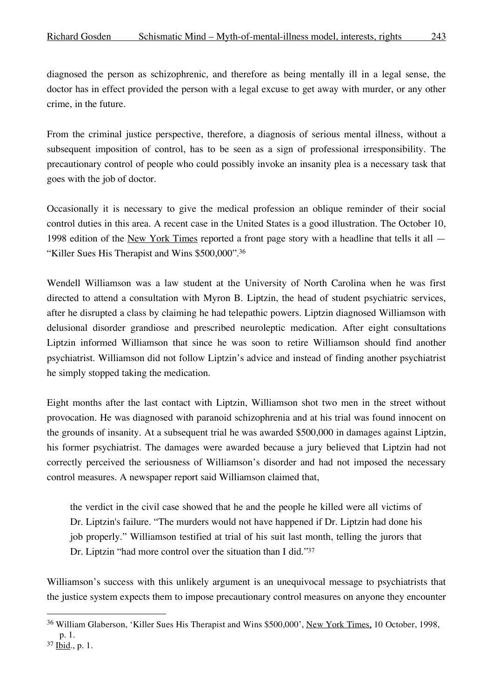diagnosed the person as schizophrenic, and therefore as being mentally ill in a legal sense, the doctor has in effect provided the person with a legal excuse to get away with murder, or any other crime, in the future.

From the criminal justice perspective, therefore, a diagnosis of serious mental illness, without a subsequent imposition of control, has to be seen as a sign of professional irresponsibility. The precautionary control of people who could possibly invoke an insanity plea is a necessary task that goes with the job of doctor.

Occasionally it is necessary to give the medical profession an oblique reminder of their social control duties in this area. A recent case in the United States is a good illustration. The October 10, 1998 edition of the New York Times reported a front page story with a headline that tells it all — "Killer Sues His Therapist and Wins \$500,000". 36

Wendell Williamson was a law student at the University of North Carolina when he was first directed to attend a consultation with Myron B. Liptzin, the head of student psychiatric services, after he disrupted a class by claiming he had telepathic powers. Liptzin diagnosed Williamson with delusional disorder grandiose and prescribed neuroleptic medication. After eight consultations Liptzin informed Williamson that since he was soon to retire Williamson should find another psychiatrist. Williamson did not follow Liptzin's advice and instead of finding another psychiatrist he simply stopped taking the medication.

Eight months after the last contact with Liptzin, Williamson shot two men in the street without provocation. He was diagnosed with paranoid schizophrenia and at his trial was found innocent on the grounds of insanity. At a subsequent trial he was awarded \$500,000 in damages against Liptzin, his former psychiatrist. The damages were awarded because a jury believed that Liptzin had not correctly perceived the seriousness of Williamson's disorder and had not imposed the necessary control measures. A newspaper report said Williamson claimed that,

the verdict in the civil case showed that he and the people he killed were all victims of Dr. Liptzin's failure. "The murders would not have happened if Dr. Liptzin had done his job properly." Williamson testified at trial of his suit last month, telling the jurors that Dr. Liptzin "had more control over the situation than I did."37

Williamson's success with this unlikely argument is an unequivocal message to psychiatrists that the justice system expects them to impose precautionary control measures on anyone they encounter

 <sup>36</sup> William Glaberson, 'Killer Sues His Therapist and Wins \$500,000', New York Times, <sup>10</sup> October, 1998, p. 1.

<sup>37</sup> Ibid., p. 1.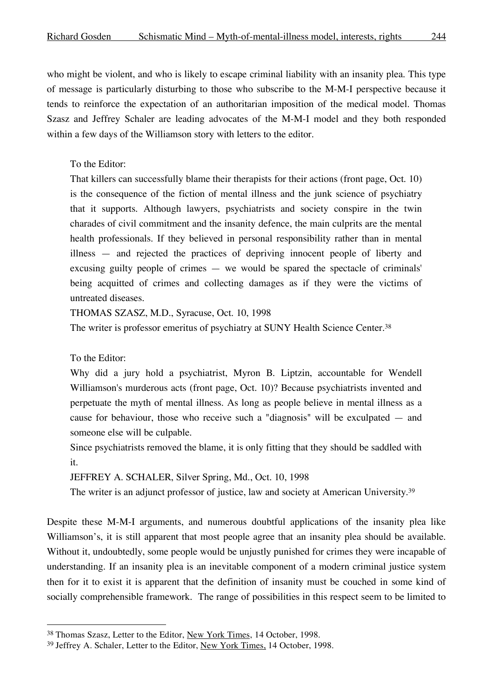who might be violent, and who is likely to escape criminal liability with an insanity plea. This type of message is particularly disturbing to those who subscribe to the M-M-I perspective because it tends to reinforce the expectation of an authoritarian imposition of the medical model. Thomas Szasz and Jeffrey Schaler are leading advocates of the M-M-I model and they both responded within a few days of the Williamson story with letters to the editor.

To the Editor:

That killers can successfully blame their therapists for their actions (front page, Oct. 10) is the consequence of the fiction of mental illness and the junk science of psychiatry that it supports. Although lawyers, psychiatrists and society conspire in the twin charades of civil commitment and the insanity defence, the main culprits are the mental health professionals. If they believed in personal responsibility rather than in mental illness — and rejected the practices of depriving innocent people of liberty and excusing guilty people of crimes — we would be spared the spectacle of criminals' being acquitted of crimes and collecting damages as if they were the victims of untreated diseases.

THOMAS SZASZ, M.D., Syracuse, Oct. 10, 1998

The writer is professor emeritus of psychiatry at SUNY Health Science Center. 38

To the Editor:

Why did a jury hold a psychiatrist, Myron B. Liptzin, accountable for Wendell Williamson's murderous acts (front page, Oct. 10)? Because psychiatrists invented and perpetuate the myth of mental illness. As long as people believe in mental illness as a cause for behaviour, those who receive such a "diagnosis" will be exculpated — and someone else will be culpable.

Since psychiatrists removed the blame, it is only fitting that they should be saddled with it.

JEFFREY A. SCHALER, Silver Spring, Md., Oct. 10, 1998

The writer is an adjunct professor of justice, law and society at American University.<sup>39</sup>

Despite these M-M-I arguments, and numerous doubtful applications of the insanity plea like Williamson's, it is still apparent that most people agree that an insanity plea should be available. Without it, undoubtedly, some people would be unjustly punished for crimes they were incapable of understanding. If an insanity plea is an inevitable component of a modern criminal justice system then for it to exist it is apparent that the definition of insanity must be couched in some kind of socially comprehensible framework. The range of possibilities in this respect seem to be limited to

 <sup>38</sup> Thomas Szasz, Letter to the Editor, New York Times, <sup>14</sup> October, 1998.

<sup>&</sup>lt;sup>39</sup> Jeffrey A. Schaler, Letter to the Editor, <u>New York Times,</u> 14 October, 1998.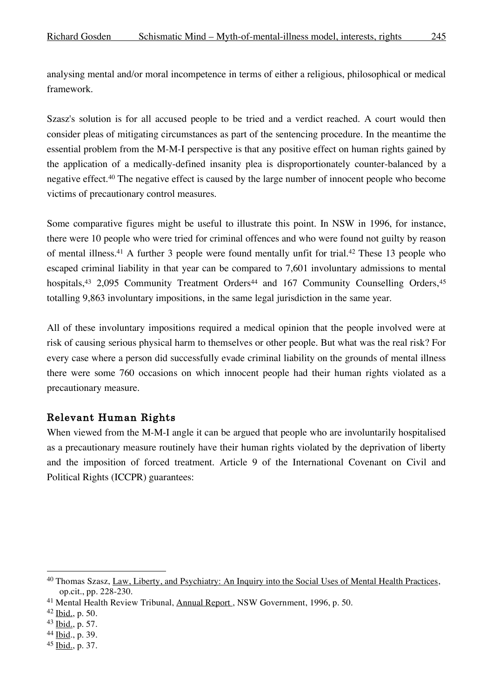analysing mental and/or moral incompetence in terms of either a religious, philosophical or medical framework.

Szasz's solution is for all accused people to be tried and a verdict reached. A court would then consider pleas of mitigating circumstances as part of the sentencing procedure. In the meantime the essential problem from the M-M-I perspective is that any positive effect on human rights gained by the application of a medically-defined insanity plea is disproportionately counter-balanced by a negative effect.<sup>40</sup> The negative effect is caused by the large number of innocent people who become victims of precautionary control measures.

Some comparative figures might be useful to illustrate this point. In NSW in 1996, for instance, there were 10 people who were tried for criminal offences and who were found not guilty by reason of mental illness. <sup>41</sup> A further 3 people were found mentally unfit for trial. <sup>42</sup> These 13 people who escaped criminal liability in that year can be compared to 7,601 involuntary admissions to mental hospitals,<sup>43</sup> 2,095 Community Treatment Orders<sup>44</sup> and 167 Community Counselling Orders,<sup>45</sup> totalling 9,863 involuntary impositions, in the same legal jurisdiction in the same year.

All of these involuntary impositions required a medical opinion that the people involved were at risk of causing serious physical harm to themselves or other people. But what was the real risk? For every case where a person did successfully evade criminal liability on the grounds of mental illness there were some 760 occasions on which innocent people had their human rights violated as a precautionary measure.

## Relevant Human Rights

When viewed from the M-M-I angle it can be argued that people who are involuntarily hospitalised as a precautionary measure routinely have their human rights violated by the deprivation of liberty and the imposition of forced treatment. Article 9 of the International Covenant on Civil and Political Rights (ICCPR) guarantees:

<sup>&</sup>lt;sup>40</sup> Thomas Szasz, Law, Liberty, and Psychiatry: An Inquiry into the Social Uses of Mental Health Practices, op.cit., pp. 228-230.

<sup>41</sup> Mental Health Review Tribunal, Annual Report , NSW Government, 1996, p. 50.

<sup>42</sup> Ibid., p. 50.

<sup>43</sup> Ibid., p. 57.

<sup>44</sup> Ibid., p. 39.

<sup>45</sup> Ibid., p. 37.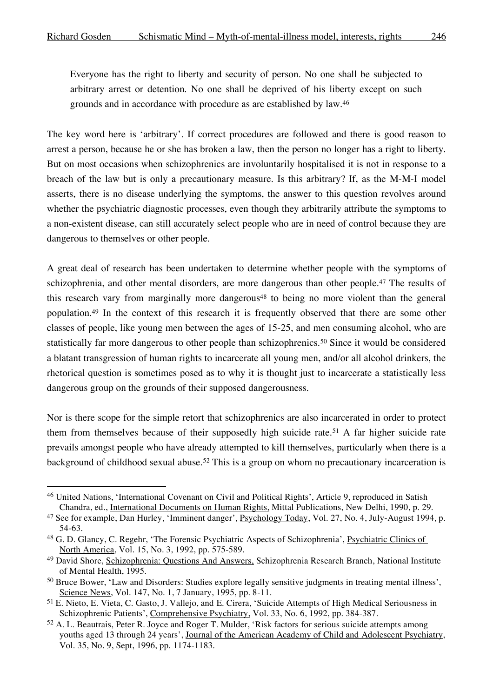Everyone has the right to liberty and security of person. No one shall be subjected to arbitrary arrest or detention. No one shall be deprived of his liberty except on such grounds and in accordance with procedure as are established by law.46

The key word here is 'arbitrary'. If correct procedures are followed and there is good reason to arrest a person, because he or she has broken a law, then the person no longer has a right to liberty. But on most occasions when schizophrenics are involuntarily hospitalised it is not in response to a breach of the law but is only a precautionary measure. Is this arbitrary? If, as the M-M-I model asserts, there is no disease underlying the symptoms, the answer to this question revolves around whether the psychiatric diagnostic processes, even though they arbitrarily attribute the symptoms to a non-existent disease, can still accurately select people who are in need of control because they are dangerous to themselves or other people.

A great deal of research has been undertaken to determine whether people with the symptoms of schizophrenia, and other mental disorders, are more dangerous than other people.47 The results of this research vary from marginally more dangerous<sup>48</sup> to being no more violent than the general population.49 In the context of this research it is frequently observed that there are some other classes of people, like young men between the ages of 15-25, and men consuming alcohol, who are statistically far more dangerous to other people than schizophrenics.<sup>50</sup> Since it would be considered a blatant transgression of human rights to incarcerate all young men, and/or all alcohol drinkers, the rhetorical question is sometimes posed as to why it is thought just to incarcerate a statistically less dangerous group on the grounds of their supposed dangerousness.

Nor is there scope for the simple retort that schizophrenics are also incarcerated in order to protect them from themselves because of their supposedly high suicide rate.<sup>51</sup> A far higher suicide rate prevails amongst people who have already attempted to kill themselves, particularly when there is a background of childhood sexual abuse.<sup>52</sup> This is a group on whom no precautionary incarceration is

 <sup>46</sup> United Nations, 'International Covenant on Civil and Political Rights', Article 9, reproduced in Satish Chandra, ed., International Documents on Human Rights, Mittal Publications, New Delhi, 1990, p. 29.

<sup>47</sup> See for example, Dan Hurley, 'Imminent danger', Psychology Today, Vol. 27, No. 4, July-August 1994, p. 54-63.

<sup>48</sup> G. D. Glancy, C. Regehr, 'The Forensic Psychiatric Aspects of Schizophrenia', Psychiatric Clinics of North America, Vol. 15, No. 3, 1992, pp. 575-589.

<sup>&</sup>lt;sup>49</sup> David Shore, Schizophrenia: Questions And Answers, Schizophrenia Research Branch, National Institute of Mental Health, 1995.

<sup>50</sup> Bruce Bower, 'Law and Disorders: Studies explore legally sensitive judgments in treating mental illness', Science News, Vol. 147, No. 1, 7 January, 1995, pp. 8-11.

<sup>51</sup> E. Nieto, E. Vieta, C. Gasto, J. Vallejo, and E. Cirera, 'Suicide Attempts of High Medical Seriousness in Schizophrenic Patients', Comprehensive Psychiatry, Vol. 33, No. 6, 1992, pp. 384-387.

<sup>52</sup> A. L. Beautrais, Peter R. Joyce and Roger T. Mulder, 'Risk factors for serious suicide attempts among youths aged 13 through 24 years', Journal of the American Academy of Child and Adolescent Psychiatry, Vol. 35, No. 9, Sept, 1996, pp. 1174-1183.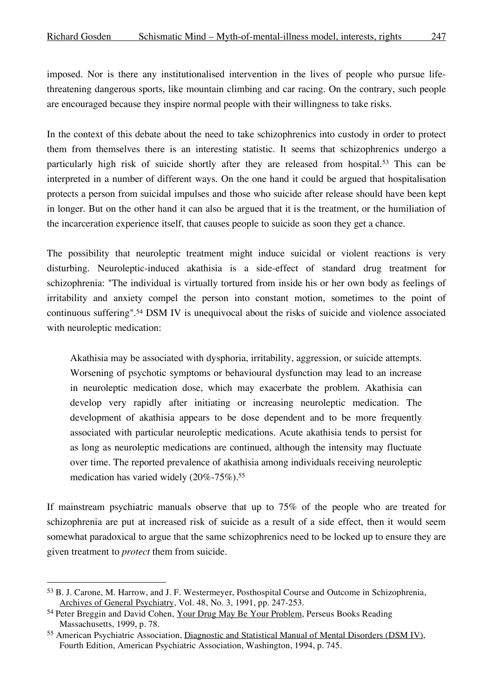imposed. Nor is there any institutionalised intervention in the lives of people who pursue lifethreatening dangerous sports, like mountain climbing and car racing. On the contrary, such people are encouraged because they inspire normal people with their willingness to take risks.

In the context of this debate about the need to take schizophrenics into custody in order to protect them from themselves there is an interesting statistic. It seems that schizophrenics undergo a particularly high risk of suicide shortly after they are released from hospital.<sup>53</sup> This can be interpreted in a number of different ways. On the one hand it could be argued that hospitalisation protects a person from suicidal impulses and those who suicide after release should have been kept in longer. But on the other hand it can also be argued that it is the treatment, or the humiliation of the incarceration experience itself, that causes people to suicide as soon they get a chance.

The possibility that neuroleptic treatment might induce suicidal or violent reactions is very disturbing. Neuroleptic-induced akathisia is a side-effect of standard drug treatment for schizophrenia: "The individual is virtually tortured from inside his or her own body as feelings of irritability and anxiety compel the person into constant motion, sometimes to the point of continuous suffering". <sup>54</sup> DSM IV is unequivocal about the risks of suicide and violence associated with neuroleptic medication:

Akathisia may be associated with dysphoria, irritability, aggression, or suicide attempts. Worsening of psychotic symptoms or behavioural dysfunction may lead to an increase in neuroleptic medication dose, which may exacerbate the problem. Akathisia can develop very rapidly after initiating or increasing neuroleptic medication. The development of akathisia appears to be dose dependent and to be more frequently associated with particular neuroleptic medications. Acute akathisia tends to persist for as long as neuroleptic medications are continued, although the intensity may fluctuate over time. The reported prevalence of akathisia among individuals receiving neuroleptic medication has varied widely (20%-75%). 55

If mainstream psychiatric manuals observe that up to 75% of the people who are treated for schizophrenia are put at increased risk of suicide as a result of a side effect, then it would seem somewhat paradoxical to argue that the same schizophrenics need to be locked up to ensure they are given treatment to *protect* them from suicide.

 <sup>53</sup> B. J. Carone, M. Harrow, and J. F. Westermeyer, Posthospital Course and Outcome in Schizophrenia, Archives of General Psychiatry, Vol. 48, No. 3, 1991, pp. 247-253.

<sup>54</sup> Peter Breggin and David Cohen, Your Drug May Be Your Problem, Perseus Books Reading Massachusetts, 1999, p. 78.

<sup>55</sup> American Psychiatric Association, Diagnostic and Statistical Manual of Mental Disorders (DSM IV), Fourth Edition, American Psychiatric Association, Washington, 1994, p. 745.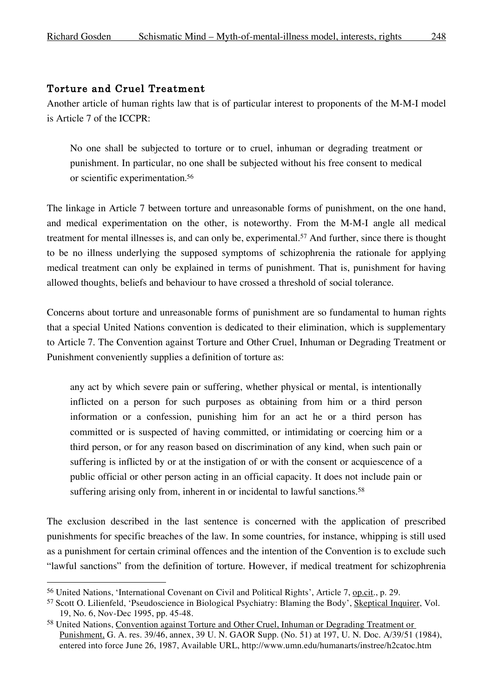#### Torture and Cruel Treatment

Another article of human rights law that is of particular interest to proponents of the M-M-I model is Article 7 of the ICCPR:

No one shall be subjected to torture or to cruel, inhuman or degrading treatment or punishment. In particular, no one shall be subjected without his free consent to medical or scientific experimentation. 56

The linkage in Article 7 between torture and unreasonable forms of punishment, on the one hand, and medical experimentation on the other, is noteworthy. From the M-M-I angle all medical treatment for mental illnesses is, and can only be, experimental. <sup>57</sup> And further, since there is thought to be no illness underlying the supposed symptoms of schizophrenia the rationale for applying medical treatment can only be explained in terms of punishment. That is, punishment for having allowed thoughts, beliefs and behaviour to have crossed a threshold of social tolerance.

Concerns about torture and unreasonable forms of punishment are so fundamental to human rights that a special United Nations convention is dedicated to their elimination, which is supplementary to Article 7. The Convention against Torture and Other Cruel, Inhuman or Degrading Treatment or Punishment conveniently supplies a definition of torture as:

any act by which severe pain or suffering, whether physical or mental, is intentionally inflicted on a person for such purposes as obtaining from him or a third person information or a confession, punishing him for an act he or a third person has committed or is suspected of having committed, or intimidating or coercing him or a third person, or for any reason based on discrimination of any kind, when such pain or suffering is inflicted by or at the instigation of or with the consent or acquiescence of a public official or other person acting in an official capacity. It does not include pain or suffering arising only from, inherent in or incidental to lawful sanctions.<sup>58</sup>

The exclusion described in the last sentence is concerned with the application of prescribed punishments for specific breaches of the law. In some countries, for instance, whipping is still used as a punishment for certain criminal offences and the intention of the Convention is to exclude such "lawful sanctions" from the definition of torture. However, if medical treatment for schizophrenia

 <sup>56</sup> United Nations, 'International Covenant on Civil and Political Rights', Article 7, op.cit., p. 29.

<sup>57</sup> Scott O. Lilienfeld, 'Pseudoscience in Biological Psychiatry: Blaming the Body', Skeptical Inquirer, Vol. 19, No. 6, Nov-Dec 1995, pp. 45-48.

<sup>58</sup> United Nations, Convention against Torture and Other Cruel, Inhuman or Degrading Treatment or Punishment, G. A. res. 39/46, annex, 39 U. N. GAOR Supp. (No. 51) at 197, U. N. Doc. A/39/51 (1984), entered into force June 26, 1987, Available URL, http://www.umn.edu/humanarts/instree/h2catoc.htm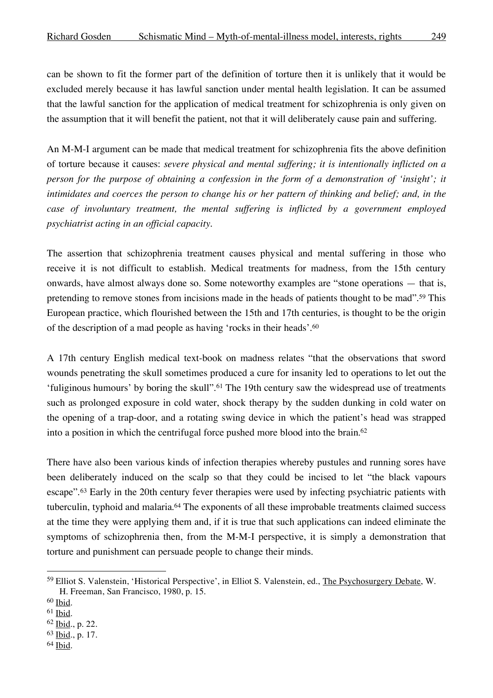can be shown to fit the former part of the definition of torture then it is unlikely that it would be excluded merely because it has lawful sanction under mental health legislation. It can be assumed that the lawful sanction for the application of medical treatment for schizophrenia is only given on the assumption that it will benefit the patient, not that it will deliberately cause pain and suffering.

An M-M-I argument can be made that medical treatment for schizophrenia fits the above definition of torture because it causes: *severe physical and mental suffering; it is intentionally inflicted on a person for the purpose of obtaining a confession in the form of a demonstration of 'insight'; it intimidates and coerces the person to change his or her pattern of thinking and belief; and, in the case of involuntary treatment, the mental suffering is inflicted by a government employed psychiatrist acting in an official capacity.*

The assertion that schizophrenia treatment causes physical and mental suffering in those who receive it is not difficult to establish. Medical treatments for madness, from the 15th century onwards, have almost always done so. Some noteworthy examples are "stone operations — that is, pretending to remove stones from incisions made in the heads of patients thought to be mad". <sup>59</sup> This European practice, which flourished between the 15th and 17th centuries, is thought to be the origin of the description of a mad people as having 'rocks in their heads'. 60

A 17th century English medical text-book on madness relates "that the observations that sword wounds penetrating the skull sometimes produced a cure for insanity led to operations to let out the 'fuliginous humours' by boring the skull".61 The 19th century saw the widespread use of treatments such as prolonged exposure in cold water, shock therapy by the sudden dunking in cold water on the opening of a trap-door, and a rotating swing device in which the patient's head was strapped into a position in which the centrifugal force pushed more blood into the brain. 62

There have also been various kinds of infection therapies whereby pustules and running sores have been deliberately induced on the scalp so that they could be incised to let "the black vapours escape".63 Early in the 20th century fever therapies were used by infecting psychiatric patients with tuberculin, typhoid and malaria. <sup>64</sup> The exponents of all these improbable treatments claimed success at the time they were applying them and, if it is true that such applications can indeed eliminate the symptoms of schizophrenia then, from the M-M-I perspective, it is simply a demonstration that torture and punishment can persuade people to change their minds.

 <sup>59</sup> Elliot S. Valenstein, 'Historical Perspective', in Elliot S. Valenstein, ed., The Psychosurgery Debate, W. H. Freeman, San Francisco, 1980, p. 15.

<sup>60</sup> Ibid.

 $61$  Ibid.

<sup>62</sup> Ibid., p. 22.

<sup>63</sup> Ibid., p. 17.

<sup>64</sup> Ibid.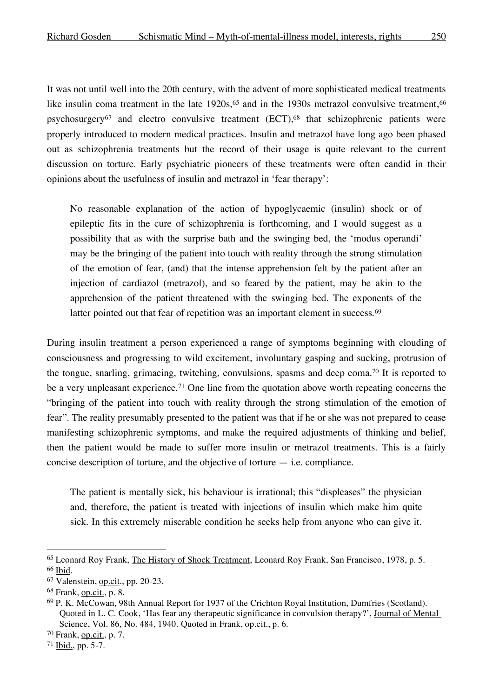It was not until well into the 20th century, with the advent of more sophisticated medical treatments like insulin coma treatment in the late  $1920s$ ,<sup>65</sup> and in the 1930s metrazol convulsive treatment,<sup>66</sup> psychosurgery<sup>67</sup> and electro convulsive treatment (ECT),<sup>68</sup> that schizophrenic patients were properly introduced to modern medical practices. Insulin and metrazol have long ago been phased out as schizophrenia treatments but the record of their usage is quite relevant to the current discussion on torture. Early psychiatric pioneers of these treatments were often candid in their opinions about the usefulness of insulin and metrazol in 'fear therapy':

No reasonable explanation of the action of hypoglycaemic (insulin) shock or of epileptic fits in the cure of schizophrenia is forthcoming, and I would suggest as a possibility that as with the surprise bath and the swinging bed, the 'modus operandi' may be the bringing of the patient into touch with reality through the strong stimulation of the emotion of fear, (and) that the intense apprehension felt by the patient after an injection of cardiazol (metrazol), and so feared by the patient, may be akin to the apprehension of the patient threatened with the swinging bed. The exponents of the latter pointed out that fear of repetition was an important element in success.<sup>69</sup>

During insulin treatment a person experienced a range of symptoms beginning with clouding of consciousness and progressing to wild excitement, involuntary gasping and sucking, protrusion of the tongue, snarling, grimacing, twitching, convulsions, spasms and deep coma.70 It is reported to be a very unpleasant experience.<sup>71</sup> One line from the quotation above worth repeating concerns the "bringing of the patient into touch with reality through the strong stimulation of the emotion of fear". The reality presumably presented to the patient was that if he or she was not prepared to cease manifesting schizophrenic symptoms, and make the required adjustments of thinking and belief, then the patient would be made to suffer more insulin or metrazol treatments. This is a fairly concise description of torture, and the objective of torture — i.e. compliance.

The patient is mentally sick, his behaviour is irrational; this "displeases" the physician and, therefore, the patient is treated with injections of insulin which make him quite sick. In this extremely miserable condition he seeks help from anyone who can give it.

 <sup>65</sup> Leonard Roy Frank, The History of Shock Treatment, Leonard Roy Frank, San Francisco, 1978, p. 5. <sup>66</sup> Ibid.

<sup>67</sup> Valenstein, op.cit., pp. 20-23.

<sup>68</sup> Frank, op.cit., p. 8.

<sup>69</sup> P. K. McCowan, 98th Annual Report for 1937 of the Crichton Royal Institution, Dumfries (Scotland). Quoted in L. C. Cook, 'Has fear any therapeutic significance in convulsion therapy?', Journal of Mental Science, Vol. 86, No. 484, 1940. Quoted in Frank, op.cit., p. 6.

<sup>70</sup> Frank, op.cit., p. 7.

 $71$  Ibid., pp. 5-7.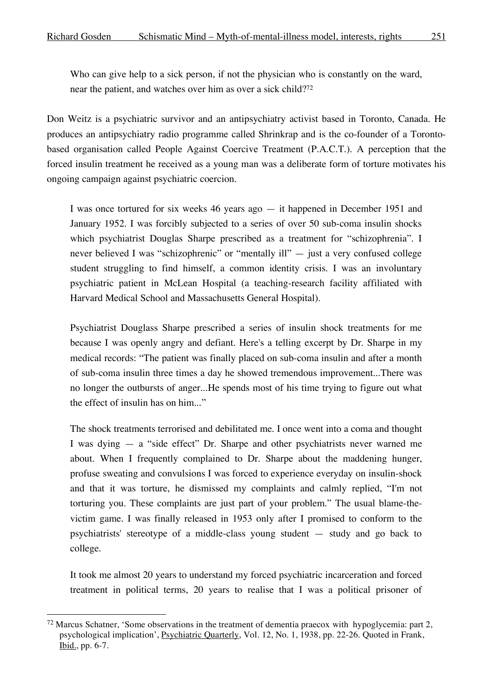Who can give help to a sick person, if not the physician who is constantly on the ward, near the patient, and watches over him as over a sick child?72

Don Weitz is a psychiatric survivor and an antipsychiatry activist based in Toronto, Canada. He produces an antipsychiatry radio programme called Shrinkrap and is the co-founder of a Torontobased organisation called People Against Coercive Treatment (P.A.C.T.). A perception that the forced insulin treatment he received as a young man was a deliberate form of torture motivates his ongoing campaign against psychiatric coercion.

I was once tortured for six weeks 46 years ago — it happened in December 1951 and January 1952. I was forcibly subjected to a series of over 50 sub-coma insulin shocks which psychiatrist Douglas Sharpe prescribed as a treatment for "schizophrenia". I never believed I was "schizophrenic" or "mentally ill" — just a very confused college student struggling to find himself, a common identity crisis. I was an involuntary psychiatric patient in McLean Hospital (a teaching-research facility affiliated with Harvard Medical School and Massachusetts General Hospital).

Psychiatrist Douglass Sharpe prescribed a series of insulin shock treatments for me because I was openly angry and defiant. Here's a telling excerpt by Dr. Sharpe in my medical records: "The patient was finally placed on sub-coma insulin and after a month of sub-coma insulin three times a day he showed tremendous improvement...There was no longer the outbursts of anger...He spends most of his time trying to figure out what the effect of insulin has on him..."

The shock treatments terrorised and debilitated me. I once went into a coma and thought I was dying — a "side effect" Dr. Sharpe and other psychiatrists never warned me about. When I frequently complained to Dr. Sharpe about the maddening hunger, profuse sweating and convulsions I was forced to experience everyday on insulin-shock and that it was torture, he dismissed my complaints and calmly replied, "I'm not torturing you. These complaints are just part of your problem." The usual blame-thevictim game. I was finally released in 1953 only after I promised to conform to the psychiatrists' stereotype of a middle-class young student — study and go back to college.

It took me almost 20 years to understand my forced psychiatric incarceration and forced treatment in political terms, 20 years to realise that I was a political prisoner of

 <sup>72</sup> Marcus Schatner, 'Some observations in the treatment of dementia praecox with hypoglycemia: part 2, psychological implication', Psychiatric Quarterly, Vol. 12, No. 1, 1938, pp. 22-26. Quoted in Frank, Ibid., pp. 6-7.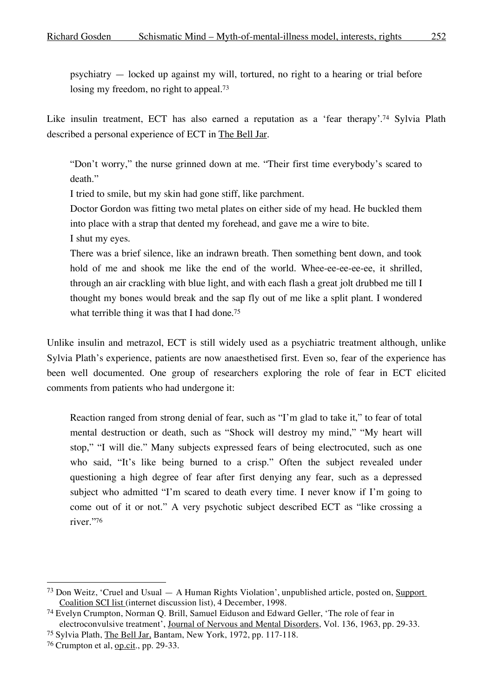psychiatry — locked up against my will, tortured, no right to a hearing or trial before losing my freedom, no right to appeal.<sup>73</sup>

Like insulin treatment, ECT has also earned a reputation as a 'fear therapy'. <sup>74</sup> Sylvia Plath described a personal experience of ECT in The Bell Jar.

"Don't worry," the nurse grinned down at me. "Their first time everybody's scared to death."

I tried to smile, but my skin had gone stiff, like parchment.

Doctor Gordon was fitting two metal plates on either side of my head. He buckled them into place with a strap that dented my forehead, and gave me a wire to bite. I shut my eyes.

There was a brief silence, like an indrawn breath. Then something bent down, and took hold of me and shook me like the end of the world. Whee-ee-ee-ee-ee, it shrilled, through an air crackling with blue light, and with each flash a great jolt drubbed me till I thought my bones would break and the sap fly out of me like a split plant. I wondered what terrible thing it was that I had done.<sup>75</sup>

Unlike insulin and metrazol, ECT is still widely used as a psychiatric treatment although, unlike Sylvia Plath's experience, patients are now anaesthetised first. Even so, fear of the experience has been well documented. One group of researchers exploring the role of fear in ECT elicited comments from patients who had undergone it:

Reaction ranged from strong denial of fear, such as "I'm glad to take it," to fear of total mental destruction or death, such as "Shock will destroy my mind," "My heart will stop," "I will die." Many subjects expressed fears of being electrocuted, such as one who said, "It's like being burned to a crisp." Often the subject revealed under questioning a high degree of fear after first denying any fear, such as a depressed subject who admitted "I'm scared to death every time. I never know if I'm going to come out of it or not." A very psychotic subject described ECT as "like crossing a river."76

 $73$  Don Weitz, 'Cruel and Usual  $-$  A Human Rights Violation', unpublished article, posted on, Support Coalition SCI list (internet discussion list), 4 December, 1998.

<sup>74</sup> Evelyn Crumpton, Norman Q. Brill, Samuel Eiduson and Edward Geller, 'The role of fear in electroconvulsive treatment', Journal of Nervous and Mental Disorders, Vol. 136, 1963, pp. 29-33.

<sup>75</sup> Sylvia Plath, The Bell Jar, Bantam, New York, 1972, pp. 117-118.

<sup>76</sup> Crumpton et al, op.cit., pp. 29-33.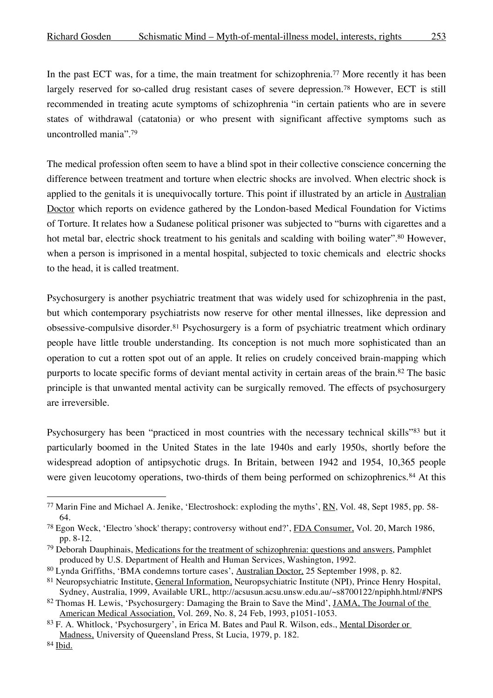In the past ECT was, for a time, the main treatment for schizophrenia.<sup>77</sup> More recently it has been largely reserved for so-called drug resistant cases of severe depression.<sup>78</sup> However, ECT is still recommended in treating acute symptoms of schizophrenia "in certain patients who are in severe states of withdrawal (catatonia) or who present with significant affective symptoms such as uncontrolled mania". 79

The medical profession often seem to have a blind spot in their collective conscience concerning the difference between treatment and torture when electric shocks are involved. When electric shock is applied to the genitals it is unequivocally torture. This point if illustrated by an article in Australian Doctor which reports on evidence gathered by the London-based Medical Foundation for Victims of Torture. It relates how a Sudanese political prisoner was subjected to "burns with cigarettes and a hot metal bar, electric shock treatment to his genitals and scalding with boiling water".<sup>80</sup> However, when a person is imprisoned in a mental hospital, subjected to toxic chemicals and electric shocks to the head, it is called treatment.

Psychosurgery is another psychiatric treatment that was widely used for schizophrenia in the past, but which contemporary psychiatrists now reserve for other mental illnesses, like depression and obsessive-compulsive disorder.81 Psychosurgery is a form of psychiatric treatment which ordinary people have little trouble understanding. Its conception is not much more sophisticated than an operation to cut a rotten spot out of an apple. It relies on crudely conceived brain-mapping which purports to locate specific forms of deviant mental activity in certain areas of the brain.82 The basic principle is that unwanted mental activity can be surgically removed. The effects of psychosurgery are irreversible.

Psychosurgery has been "practiced in most countries with the necessary technical skills"83 but it particularly boomed in the United States in the late 1940s and early 1950s, shortly before the widespread adoption of antipsychotic drugs. In Britain, between 1942 and 1954, 10,365 people were given leucotomy operations, two-thirds of them being performed on schizophrenics.<sup>84</sup> At this

<sup>&</sup>lt;sup>77</sup> Marin Fine and Michael A. Jenike, 'Electroshock: exploding the myths',  $\overline{RN}$ , Vol. 48, Sept 1985, pp. 58-64.

<sup>78</sup> Egon Weck, 'Electro 'shock' therapy; controversy without end?', FDA Consumer, Vol. 20, March 1986, pp. 8-12.

<sup>&</sup>lt;sup>79</sup> Deborah Dauphinais, Medications for the treatment of schizophrenia: questions and answers, Pamphlet produced by U.S. Department of Health and Human Services, Washington, 1992.

<sup>80</sup> Lynda Griffiths, 'BMA condemns torture cases', Australian Doctor, 25 September 1998, p. 82.

<sup>81</sup> Neuropsychiatric Institute, General Information, Neuropsychiatric Institute (NPI), Prince Henry Hospital, Sydney, Australia, 1999, Available URL, http://acsusun.acsu.unsw.edu.au/~s8700122/npiphh.html/#NPS

<sup>82</sup> Thomas H. Lewis, 'Psychosurgery: Damaging the Brain to Save the Mind', JAMA, The Journal of the American Medical Association, Vol. 269, No. 8, 24 Feb, 1993, p1051-1053.

<sup>83</sup> F. A. Whitlock, 'Psychosurgery', in Erica M. Bates and Paul R. Wilson, eds., Mental Disorder or Madness, University of Queensland Press, St Lucia, 1979, p. 182.

<sup>84</sup> Ibid.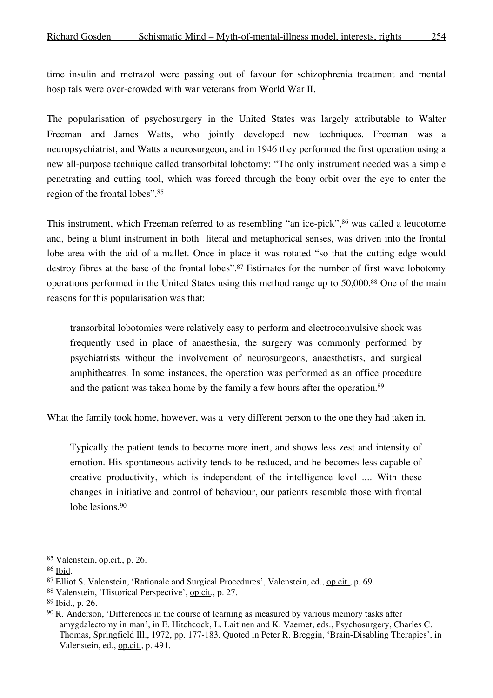time insulin and metrazol were passing out of favour for schizophrenia treatment and mental hospitals were over-crowded with war veterans from World War II.

The popularisation of psychosurgery in the United States was largely attributable to Walter Freeman and James Watts, who jointly developed new techniques. Freeman was a neuropsychiatrist, and Watts a neurosurgeon, and in 1946 they performed the first operation using a new all-purpose technique called transorbital lobotomy: "The only instrument needed was a simple penetrating and cutting tool, which was forced through the bony orbit over the eye to enter the region of the frontal lobes". 85

This instrument, which Freeman referred to as resembling "an ice-pick", <sup>86</sup> was called a leucotome and, being a blunt instrument in both literal and metaphorical senses, was driven into the frontal lobe area with the aid of a mallet. Once in place it was rotated "so that the cutting edge would destroy fibres at the base of the frontal lobes".<sup>87</sup> Estimates for the number of first wave lobotomy operations performed in the United States using this method range up to 50,000.88 One of the main reasons for this popularisation was that:

transorbital lobotomies were relatively easy to perform and electroconvulsive shock was frequently used in place of anaesthesia, the surgery was commonly performed by psychiatrists without the involvement of neurosurgeons, anaesthetists, and surgical amphitheatres. In some instances, the operation was performed as an office procedure and the patient was taken home by the family a few hours after the operation. 89

What the family took home, however, was a very different person to the one they had taken in.

Typically the patient tends to become more inert, and shows less zest and intensity of emotion. His spontaneous activity tends to be reduced, and he becomes less capable of creative productivity, which is independent of the intelligence level .... With these changes in initiative and control of behaviour, our patients resemble those with frontal lobe lesions.<sup>90</sup>

 <sup>85</sup> Valenstein, op.cit., p. 26.

<sup>86</sup> Ibid.

<sup>87</sup> Elliot S. Valenstein, 'Rationale and Surgical Procedures', Valenstein, ed., op.cit., p. 69.

<sup>88</sup> Valenstein, 'Historical Perspective', op.cit., p. 27.

<sup>89</sup> Ibid., p. 26.

 $90$  R. Anderson, 'Differences in the course of learning as measured by various memory tasks after amygdalectomy in man', in E. Hitchcock, L. Laitinen and K. Vaernet, eds., Psychosurgery, Charles C. Thomas, Springfield Ill., 1972, pp. 177-183. Quoted in Peter R. Breggin, 'Brain-Disabling Therapies', in Valenstein, ed., op.cit., p. 491.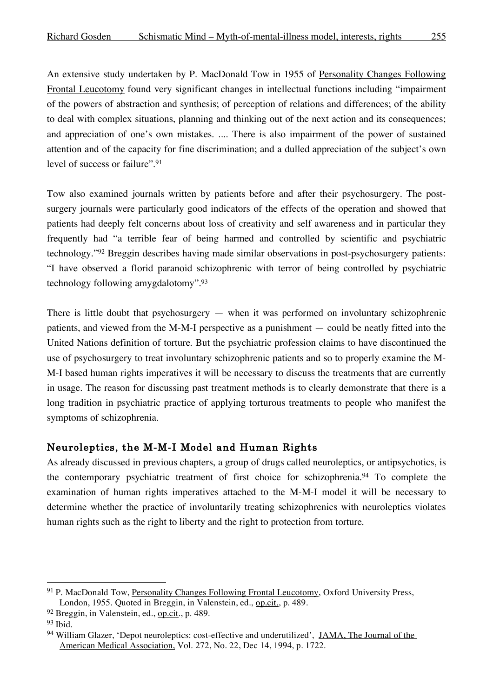An extensive study undertaken by P. MacDonald Tow in 1955 of Personality Changes Following Frontal Leucotomy found very significant changes in intellectual functions including "impairment of the powers of abstraction and synthesis; of perception of relations and differences; of the ability to deal with complex situations, planning and thinking out of the next action and its consequences; and appreciation of one's own mistakes. .... There is also impairment of the power of sustained attention and of the capacity for fine discrimination; and a dulled appreciation of the subject's own level of success or failure". 91

Tow also examined journals written by patients before and after their psychosurgery. The postsurgery journals were particularly good indicators of the effects of the operation and showed that patients had deeply felt concerns about loss of creativity and self awareness and in particular they frequently had "a terrible fear of being harmed and controlled by scientific and psychiatric technology."92 Breggin describes having made similar observations in post-psychosurgery patients: "I have observed a florid paranoid schizophrenic with terror of being controlled by psychiatric technology following amygdalotomy". 93

There is little doubt that psychosurgery  $-$  when it was performed on involuntary schizophrenic patients, and viewed from the M-M-I perspective as a punishment — could be neatly fitted into the United Nations definition of torture. But the psychiatric profession claims to have discontinued the use of psychosurgery to treat involuntary schizophrenic patients and so to properly examine the M-M-I based human rights imperatives it will be necessary to discuss the treatments that are currently in usage. The reason for discussing past treatment methods is to clearly demonstrate that there is a long tradition in psychiatric practice of applying torturous treatments to people who manifest the symptoms of schizophrenia.

## Neuroleptics, the M-M-I Model and Human Rights

As already discussed in previous chapters, a group of drugs called neuroleptics, or antipsychotics, is the contemporary psychiatric treatment of first choice for schizophrenia. <sup>94</sup> To complete the examination of human rights imperatives attached to the M-M-I model it will be necessary to determine whether the practice of involuntarily treating schizophrenics with neuroleptics violates human rights such as the right to liberty and the right to protection from torture.

<sup>&</sup>lt;sup>91</sup> P. MacDonald Tow, Personality Changes Following Frontal Leucotomy, Oxford University Press, London, 1955. Quoted in Breggin, in Valenstein, ed., op.cit., p. 489.

<sup>92</sup> Breggin, in Valenstein, ed., op.cit., p. 489.

<sup>93</sup> Ibid.

<sup>94</sup> William Glazer, 'Depot neuroleptics: cost-effective and underutilized', JAMA, The Journal of the American Medical Association, Vol. 272, No. 22, Dec 14, 1994, p. 1722.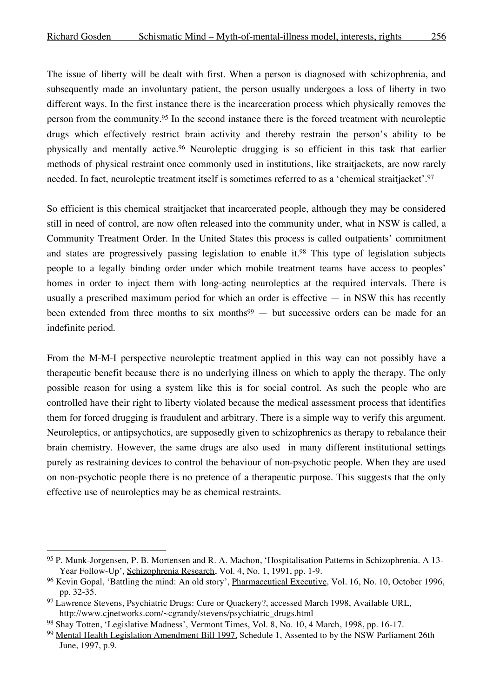The issue of liberty will be dealt with first. When a person is diagnosed with schizophrenia, and subsequently made an involuntary patient, the person usually undergoes a loss of liberty in two different ways. In the first instance there is the incarceration process which physically removes the person from the community.95 In the second instance there is the forced treatment with neuroleptic drugs which effectively restrict brain activity and thereby restrain the person's ability to be physically and mentally active. <sup>96</sup> Neuroleptic drugging is so efficient in this task that earlier methods of physical restraint once commonly used in institutions, like straitjackets, are now rarely needed. In fact, neuroleptic treatment itself is sometimes referred to as a 'chemical straitjacket'. 97

So efficient is this chemical straitjacket that incarcerated people, although they may be considered still in need of control, are now often released into the community under, what in NSW is called, a Community Treatment Order. In the United States this process is called outpatients' commitment and states are progressively passing legislation to enable it. <sup>98</sup> This type of legislation subjects people to a legally binding order under which mobile treatment teams have access to peoples' homes in order to inject them with long-acting neuroleptics at the required intervals. There is usually a prescribed maximum period for which an order is effective  $-$  in NSW this has recently been extended from three months to six months<sup>99</sup>  $-$  but successive orders can be made for an indefinite period.

From the M-M-I perspective neuroleptic treatment applied in this way can not possibly have a therapeutic benefit because there is no underlying illness on which to apply the therapy. The only possible reason for using a system like this is for social control. As such the people who are controlled have their right to liberty violated because the medical assessment process that identifies them for forced drugging is fraudulent and arbitrary. There is a simple way to verify this argument. Neuroleptics, or antipsychotics, are supposedly given to schizophrenics as therapy to rebalance their brain chemistry. However, the same drugs are also used in many different institutional settings purely as restraining devices to control the behaviour of non-psychotic people. When they are used on non-psychotic people there is no pretence of a therapeutic purpose. This suggests that the only effective use of neuroleptics may be as chemical restraints.

 <sup>95</sup> P. Munk-Jorgensen, P. B. Mortensen and R. A. Machon, 'Hospitalisation Patterns in Schizophrenia. <sup>A</sup> 13- Year Follow-Up', Schizophrenia Research, Vol. 4, No. 1, 1991, pp. 1-9.

<sup>&</sup>lt;sup>96</sup> Kevin Gopal, 'Battling the mind: An old story', Pharmaceutical Executive, Vol. 16, No. 10, October 1996, pp. 32-35.

<sup>97</sup> Lawrence Stevens, Psychiatric Drugs: Cure or Quackery?, accessed March 1998, Available URL, http://www.cjnetworks.com/~cgrandy/stevens/psychiatric\_drugs.html

<sup>98</sup> Shay Totten, 'Legislative Madness', Vermont Times, Vol. 8, No. 10, 4 March, 1998, pp. 16-17.

<sup>99</sup> Mental Health Legislation Amendment Bill 1997, Schedule 1, Assented to by the NSW Parliament 26th June, 1997, p.9.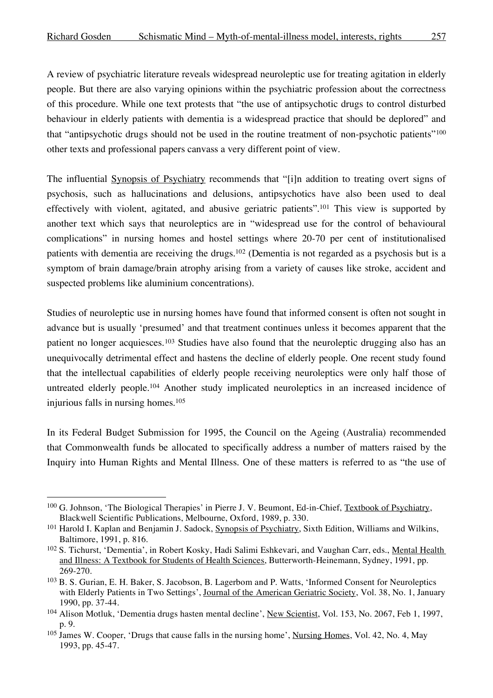A review of psychiatric literature reveals widespread neuroleptic use for treating agitation in elderly people. But there are also varying opinions within the psychiatric profession about the correctness of this procedure. While one text protests that "the use of antipsychotic drugs to control disturbed behaviour in elderly patients with dementia is a widespread practice that should be deplored" and that "antipsychotic drugs should not be used in the routine treatment of non-psychotic patients"100 other texts and professional papers canvass a very different point of view.

The influential Synopsis of Psychiatry recommends that "[i]n addition to treating overt signs of psychosis, such as hallucinations and delusions, antipsychotics have also been used to deal effectively with violent, agitated, and abusive geriatric patients". <sup>101</sup> This view is supported by another text which says that neuroleptics are in "widespread use for the control of behavioural complications" in nursing homes and hostel settings where 20-70 per cent of institutionalised patients with dementia are receiving the drugs. <sup>102</sup> (Dementia is not regarded as a psychosis but is a symptom of brain damage/brain atrophy arising from a variety of causes like stroke, accident and suspected problems like aluminium concentrations).

Studies of neuroleptic use in nursing homes have found that informed consent is often not sought in advance but is usually 'presumed' and that treatment continues unless it becomes apparent that the patient no longer acquiesces.103 Studies have also found that the neuroleptic drugging also has an unequivocally detrimental effect and hastens the decline of elderly people. One recent study found that the intellectual capabilities of elderly people receiving neuroleptics were only half those of untreated elderly people. <sup>104</sup> Another study implicated neuroleptics in an increased incidence of injurious falls in nursing homes. 105

In its Federal Budget Submission for 1995, the Council on the Ageing (Australia) recommended that Commonwealth funds be allocated to specifically address a number of matters raised by the Inquiry into Human Rights and Mental Illness. One of these matters is referred to as "the use of

 <sup>100</sup> G. Johnson, 'The Biological Therapies' in Pierre J. V. Beumont, Ed-in-Chief, Textbook of Psychiatry, Blackwell Scientific Publications, Melbourne, Oxford, 1989, p. 330.

<sup>&</sup>lt;sup>101</sup> Harold I. Kaplan and Benjamin J. Sadock, Synopsis of Psychiatry, Sixth Edition, Williams and Wilkins, Baltimore, 1991, p. 816.

<sup>102</sup> S. Tichurst, 'Dementia', in Robert Kosky, Hadi Salimi Eshkevari, and Vaughan Carr, eds., Mental Health and Illness: A Textbook for Students of Health Sciences, Butterworth-Heinemann, Sydney, 1991, pp. 269-270.

<sup>103</sup> B. S. Gurian, E. H. Baker, S. Jacobson, B. Lagerbom and P. Watts, 'Informed Consent for Neuroleptics with Elderly Patients in Two Settings', Journal of the American Geriatric Society, Vol. 38, No. 1, January 1990, pp. 37-44.

<sup>104</sup> Alison Motluk, 'Dementia drugs hasten mental decline', New Scientist, Vol. 153, No. 2067, Feb 1, 1997, p. 9.

<sup>&</sup>lt;sup>105</sup> James W. Cooper, 'Drugs that cause falls in the nursing home', Nursing Homes, Vol. 42, No. 4, May 1993, pp. 45-47.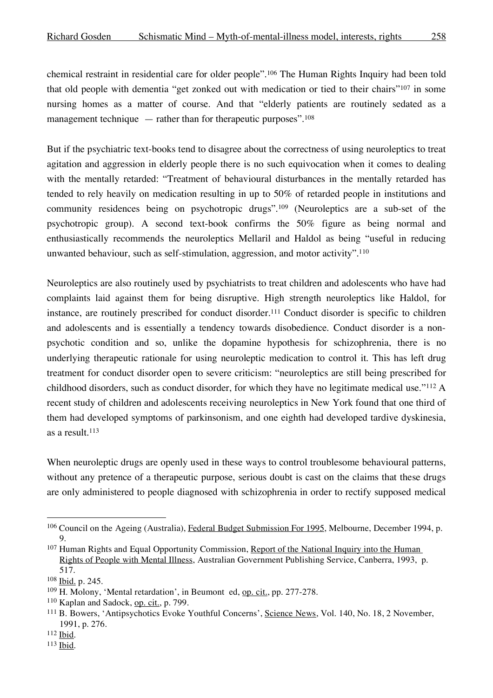chemical restraint in residential care for older people".106 The Human Rights Inquiry had been told that old people with dementia "get zonked out with medication or tied to their chairs"107 in some nursing homes as a matter of course. And that "elderly patients are routinely sedated as a management technique  $-$  rather than for therapeutic purposes".<sup>108</sup>

But if the psychiatric text-books tend to disagree about the correctness of using neuroleptics to treat agitation and aggression in elderly people there is no such equivocation when it comes to dealing with the mentally retarded: "Treatment of behavioural disturbances in the mentally retarded has tended to rely heavily on medication resulting in up to 50% of retarded people in institutions and community residences being on psychotropic drugs".109 (Neuroleptics are a sub-set of the psychotropic group). A second text-book confirms the 50% figure as being normal and enthusiastically recommends the neuroleptics Mellaril and Haldol as being "useful in reducing unwanted behaviour, such as self-stimulation, aggression, and motor activity". 110

Neuroleptics are also routinely used by psychiatrists to treat children and adolescents who have had complaints laid against them for being disruptive. High strength neuroleptics like Haldol, for instance, are routinely prescribed for conduct disorder. <sup>111</sup> Conduct disorder is specific to children and adolescents and is essentially a tendency towards disobedience. Conduct disorder is a nonpsychotic condition and so, unlike the dopamine hypothesis for schizophrenia, there is no underlying therapeutic rationale for using neuroleptic medication to control it. This has left drug treatment for conduct disorder open to severe criticism: "neuroleptics are still being prescribed for childhood disorders, such as conduct disorder, for which they have no legitimate medical use."112 A recent study of children and adolescents receiving neuroleptics in New York found that one third of them had developed symptoms of parkinsonism, and one eighth had developed tardive dyskinesia, as a result. 113

When neuroleptic drugs are openly used in these ways to control troublesome behavioural patterns, without any pretence of a therapeutic purpose, serious doubt is cast on the claims that these drugs are only administered to people diagnosed with schizophrenia in order to rectify supposed medical

<sup>113</sup> Ibid.

 <sup>106</sup> Council on the Ageing (Australia), Federal Budget Submission For 1995, Melbourne, December 1994, p. 9.

<sup>107</sup> Human Rights and Equal Opportunity Commission, Report of the National Inquiry into the Human Rights of People with Mental Illness, Australian Government Publishing Service, Canberra, 1993, p. 517.

<sup>108</sup> Ibid. p. 245.

<sup>&</sup>lt;sup>109</sup> H. Molony, 'Mental retardation', in Beumont ed, op. cit., pp. 277-278.

<sup>&</sup>lt;sup>110</sup> Kaplan and Sadock, op. cit., p. 799.

<sup>111</sup> B. Bowers, 'Antipsychotics Evoke Youthful Concerns', Science News, Vol. 140, No. 18, 2 November, 1991, p. 276.

<sup>112</sup> Ibid.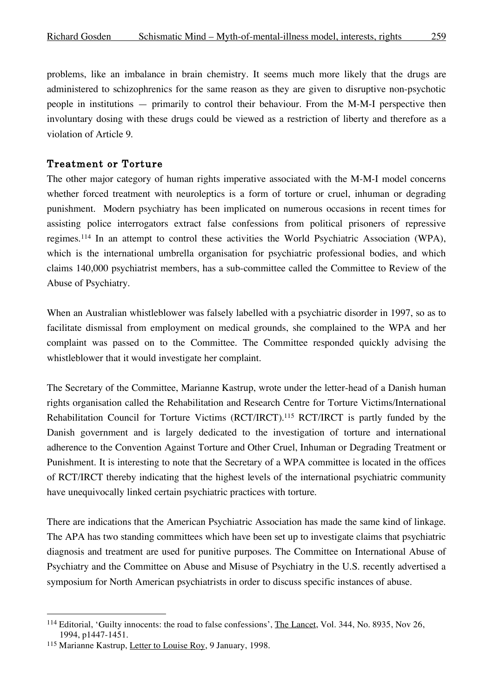problems, like an imbalance in brain chemistry. It seems much more likely that the drugs are administered to schizophrenics for the same reason as they are given to disruptive non-psychotic people in institutions — primarily to control their behaviour. From the M-M-I perspective then involuntary dosing with these drugs could be viewed as a restriction of liberty and therefore as a violation of Article 9.

#### Treatment or Torture

The other major category of human rights imperative associated with the M-M-I model concerns whether forced treatment with neuroleptics is a form of torture or cruel, inhuman or degrading punishment. Modern psychiatry has been implicated on numerous occasions in recent times for assisting police interrogators extract false confessions from political prisoners of repressive regimes. <sup>114</sup> In an attempt to control these activities the World Psychiatric Association (WPA), which is the international umbrella organisation for psychiatric professional bodies, and which claims 140,000 psychiatrist members, has a sub-committee called the Committee to Review of the Abuse of Psychiatry.

When an Australian whistleblower was falsely labelled with a psychiatric disorder in 1997, so as to facilitate dismissal from employment on medical grounds, she complained to the WPA and her complaint was passed on to the Committee. The Committee responded quickly advising the whistleblower that it would investigate her complaint.

The Secretary of the Committee, Marianne Kastrup, wrote under the letter-head of a Danish human rights organisation called the Rehabilitation and Research Centre for Torture Victims/International Rehabilitation Council for Torture Victims (RCT/IRCT). <sup>115</sup> RCT/IRCT is partly funded by the Danish government and is largely dedicated to the investigation of torture and international adherence to the Convention Against Torture and Other Cruel, Inhuman or Degrading Treatment or Punishment. It is interesting to note that the Secretary of a WPA committee is located in the offices of RCT/IRCT thereby indicating that the highest levels of the international psychiatric community have unequivocally linked certain psychiatric practices with torture.

There are indications that the American Psychiatric Association has made the same kind of linkage. The APA has two standing committees which have been set up to investigate claims that psychiatric diagnosis and treatment are used for punitive purposes. The Committee on International Abuse of Psychiatry and the Committee on Abuse and Misuse of Psychiatry in the U.S. recently advertised a symposium for North American psychiatrists in order to discuss specific instances of abuse.

 <sup>114</sup> Editorial, 'Guilty innocents: the road to false confessions', The Lancet, Vol. 344, No. 8935, Nov 26, 1994, p1447-1451.

<sup>115</sup> Marianne Kastrup, Letter to Louise Roy, 9 January, 1998.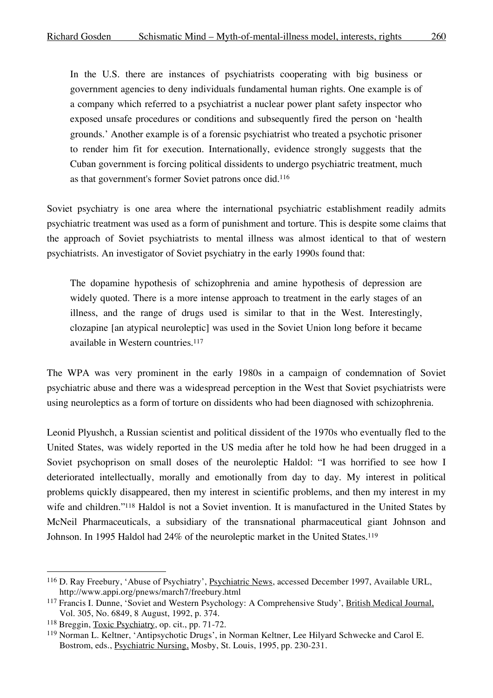In the U.S. there are instances of psychiatrists cooperating with big business or government agencies to deny individuals fundamental human rights. One example is of a company which referred to a psychiatrist a nuclear power plant safety inspector who exposed unsafe procedures or conditions and subsequently fired the person on 'health grounds.' Another example is of a forensic psychiatrist who treated a psychotic prisoner to render him fit for execution. Internationally, evidence strongly suggests that the Cuban government is forcing political dissidents to undergo psychiatric treatment, much as that government's former Soviet patrons once did.116

Soviet psychiatry is one area where the international psychiatric establishment readily admits psychiatric treatment was used as a form of punishment and torture. This is despite some claims that the approach of Soviet psychiatrists to mental illness was almost identical to that of western psychiatrists. An investigator of Soviet psychiatry in the early 1990s found that:

The dopamine hypothesis of schizophrenia and amine hypothesis of depression are widely quoted. There is a more intense approach to treatment in the early stages of an illness, and the range of drugs used is similar to that in the West. Interestingly, clozapine [an atypical neuroleptic] was used in the Soviet Union long before it became available in Western countries. 117

The WPA was very prominent in the early 1980s in a campaign of condemnation of Soviet psychiatric abuse and there was a widespread perception in the West that Soviet psychiatrists were using neuroleptics as a form of torture on dissidents who had been diagnosed with schizophrenia.

Leonid Plyushch, a Russian scientist and political dissident of the 1970s who eventually fled to the United States, was widely reported in the US media after he told how he had been drugged in a Soviet psychoprison on small doses of the neuroleptic Haldol: "I was horrified to see how I deteriorated intellectually, morally and emotionally from day to day. My interest in political problems quickly disappeared, then my interest in scientific problems, and then my interest in my wife and children."<sup>118</sup> Haldol is not a Soviet invention. It is manufactured in the United States by McNeil Pharmaceuticals, a subsidiary of the transnational pharmaceutical giant Johnson and Johnson. In 1995 Haldol had 24% of the neuroleptic market in the United States. 119

 <sup>116</sup> D. Ray Freebury, 'Abuse of Psychiatry', Psychiatric News, accessed December 1997, Available URL, http://www.appi.org/pnews/march7/freebury.html

<sup>117</sup> Francis I. Dunne, 'Soviet and Western Psychology: A Comprehensive Study', British Medical Journal, Vol. 305, No. 6849, 8 August, 1992, p. 374.

<sup>118</sup> Breggin, Toxic Psychiatry, op. cit., pp. 71-72.

<sup>119</sup> Norman L. Keltner, 'Antipsychotic Drugs', in Norman Keltner, Lee Hilyard Schwecke and Carol E. Bostrom, eds., Psychiatric Nursing, Mosby, St. Louis, 1995, pp. 230-231.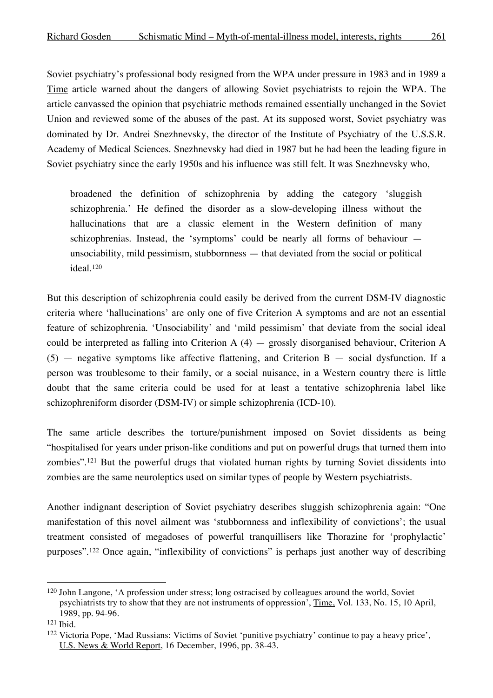Soviet psychiatry's professional body resigned from the WPA under pressure in 1983 and in 1989 a Time article warned about the dangers of allowing Soviet psychiatrists to rejoin the WPA. The article canvassed the opinion that psychiatric methods remained essentially unchanged in the Soviet Union and reviewed some of the abuses of the past. At its supposed worst, Soviet psychiatry was dominated by Dr. Andrei Snezhnevsky, the director of the Institute of Psychiatry of the U.S.S.R. Academy of Medical Sciences. Snezhnevsky had died in 1987 but he had been the leading figure in Soviet psychiatry since the early 1950s and his influence was still felt. It was Snezhnevsky who,

broadened the definition of schizophrenia by adding the category 'sluggish schizophrenia.' He defined the disorder as a slow-developing illness without the hallucinations that are a classic element in the Western definition of many schizophrenias. Instead, the 'symptoms' could be nearly all forms of behaviour unsociability, mild pessimism, stubbornness — that deviated from the social or political ideal. 120

But this description of schizophrenia could easily be derived from the current DSM-IV diagnostic criteria where 'hallucinations' are only one of five Criterion A symptoms and are not an essential feature of schizophrenia. 'Unsociability' and 'mild pessimism' that deviate from the social ideal could be interpreted as falling into Criterion A (4) — grossly disorganised behaviour, Criterion A  $(5)$  — negative symptoms like affective flattening, and Criterion B — social dysfunction. If a person was troublesome to their family, or a social nuisance, in a Western country there is little doubt that the same criteria could be used for at least a tentative schizophrenia label like schizophreniform disorder (DSM-IV) or simple schizophrenia (ICD-10).

The same article describes the torture/punishment imposed on Soviet dissidents as being "hospitalised for years under prison-like conditions and put on powerful drugs that turned them into zombies".121 But the powerful drugs that violated human rights by turning Soviet dissidents into zombies are the same neuroleptics used on similar types of people by Western psychiatrists.

Another indignant description of Soviet psychiatry describes sluggish schizophrenia again: "One manifestation of this novel ailment was 'stubbornness and inflexibility of convictions'; the usual treatment consisted of megadoses of powerful tranquillisers like Thorazine for 'prophylactic' purposes".122 Once again, "inflexibility of convictions" is perhaps just another way of describing

 <sup>120</sup> John Langone, 'A profession under stress; long ostracised by colleagues around the world, Soviet psychiatrists try to show that they are not instruments of oppression', Time, Vol. 133, No. 15, 10 April, 1989, pp. 94-96.

<sup>121</sup> Ibid.

<sup>122</sup> Victoria Pope, 'Mad Russians: Victims of Soviet 'punitive psychiatry' continue to pay a heavy price', U.S. News & World Report, 16 December, 1996, pp. 38-43.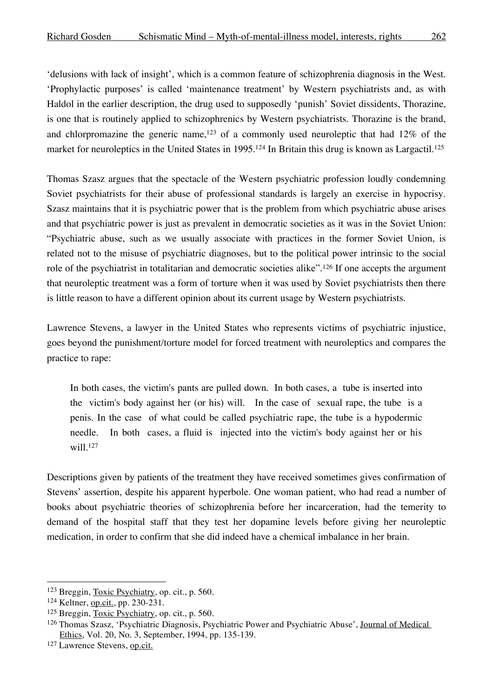'delusions with lack of insight', which is a common feature of schizophrenia diagnosis in the West. 'Prophylactic purposes' is called 'maintenance treatment' by Western psychiatrists and, as with Haldol in the earlier description, the drug used to supposedly 'punish' Soviet dissidents, Thorazine, is one that is routinely applied to schizophrenics by Western psychiatrists. Thorazine is the brand, and chlorpromazine the generic name,  $123$  of a commonly used neuroleptic that had  $12\%$  of the market for neuroleptics in the United States in 1995.<sup>124</sup> In Britain this drug is known as Largactil.<sup>125</sup>

Thomas Szasz argues that the spectacle of the Western psychiatric profession loudly condemning Soviet psychiatrists for their abuse of professional standards is largely an exercise in hypocrisy. Szasz maintains that it is psychiatric power that is the problem from which psychiatric abuse arises and that psychiatric power is just as prevalent in democratic societies as it was in the Soviet Union: "Psychiatric abuse, such as we usually associate with practices in the former Soviet Union, is related not to the misuse of psychiatric diagnoses, but to the political power intrinsic to the social role of the psychiatrist in totalitarian and democratic societies alike".126 If one accepts the argument that neuroleptic treatment was a form of torture when it was used by Soviet psychiatrists then there is little reason to have a different opinion about its current usage by Western psychiatrists.

Lawrence Stevens, a lawyer in the United States who represents victims of psychiatric injustice, goes beyond the punishment/torture model for forced treatment with neuroleptics and compares the practice to rape:

In both cases, the victim's pants are pulled down. In both cases, a tube is inserted into the victim's body against her (or his) will. In the case of sexual rape, the tube is a penis. In the case of what could be called psychiatric rape, the tube is a hypodermic needle. In both cases, a fluid is injected into the victim's body against her or his will.<sup>127</sup>

Descriptions given by patients of the treatment they have received sometimes gives confirmation of Stevens' assertion, despite his apparent hyperbole. One woman patient, who had read a number of books about psychiatric theories of schizophrenia before her incarceration, had the temerity to demand of the hospital staff that they test her dopamine levels before giving her neuroleptic medication, in order to confirm that she did indeed have a chemical imbalance in her brain.

 <sup>123</sup> Breggin, Toxic Psychiatry, op. cit., p. 560.

<sup>124</sup> Keltner, op.cit., pp. 230-231.

<sup>125</sup> Breggin, Toxic Psychiatry, op. cit., p. 560.

<sup>126</sup> Thomas Szasz, 'Psychiatric Diagnosis, Psychiatric Power and Psychiatric Abuse', Journal of Medical Ethics, Vol. 20, No. 3, September, 1994, pp. 135-139.

<sup>127</sup> Lawrence Stevens, op.cit.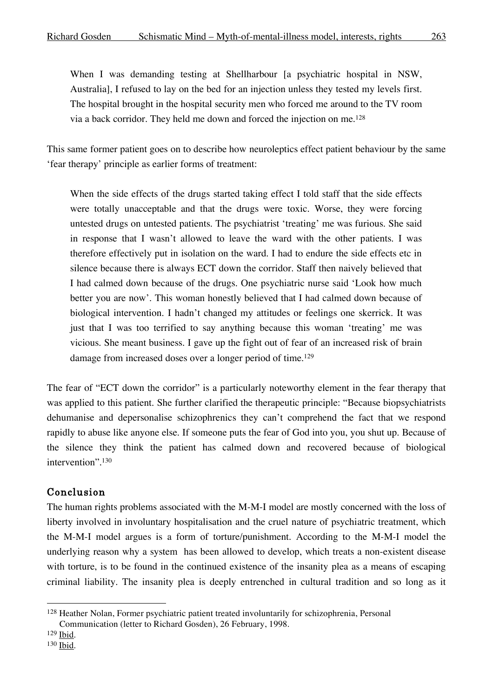When I was demanding testing at Shellharbour [a psychiatric hospital in NSW, Australia], I refused to lay on the bed for an injection unless they tested my levels first. The hospital brought in the hospital security men who forced me around to the TV room via a back corridor. They held me down and forced the injection on me. 128

This same former patient goes on to describe how neuroleptics effect patient behaviour by the same 'fear therapy' principle as earlier forms of treatment:

When the side effects of the drugs started taking effect I told staff that the side effects were totally unacceptable and that the drugs were toxic. Worse, they were forcing untested drugs on untested patients. The psychiatrist 'treating' me was furious. She said in response that I wasn't allowed to leave the ward with the other patients. I was therefore effectively put in isolation on the ward. I had to endure the side effects etc in silence because there is always ECT down the corridor. Staff then naively believed that I had calmed down because of the drugs. One psychiatric nurse said 'Look how much better you are now'. This woman honestly believed that I had calmed down because of biological intervention. I hadn't changed my attitudes or feelings one skerrick. It was just that I was too terrified to say anything because this woman 'treating' me was vicious. She meant business. I gave up the fight out of fear of an increased risk of brain damage from increased doses over a longer period of time. 129

The fear of "ECT down the corridor" is a particularly noteworthy element in the fear therapy that was applied to this patient. She further clarified the therapeutic principle: "Because biopsychiatrists dehumanise and depersonalise schizophrenics they can't comprehend the fact that we respond rapidly to abuse like anyone else. If someone puts the fear of God into you, you shut up. Because of the silence they think the patient has calmed down and recovered because of biological intervention". 130

# Conclusion

The human rights problems associated with the M-M-I model are mostly concerned with the loss of liberty involved in involuntary hospitalisation and the cruel nature of psychiatric treatment, which the M-M-I model argues is a form of torture/punishment. According to the M-M-I model the underlying reason why a system has been allowed to develop, which treats a non-existent disease with torture, is to be found in the continued existence of the insanity plea as a means of escaping criminal liability. The insanity plea is deeply entrenched in cultural tradition and so long as it

 <sup>128</sup> Heather Nolan, Former psychiatric patient treated involuntarily for schizophrenia, Personal Communication (letter to Richard Gosden), 26 February, 1998.

<sup>129</sup> Ibid.

<sup>130</sup> Ibid.